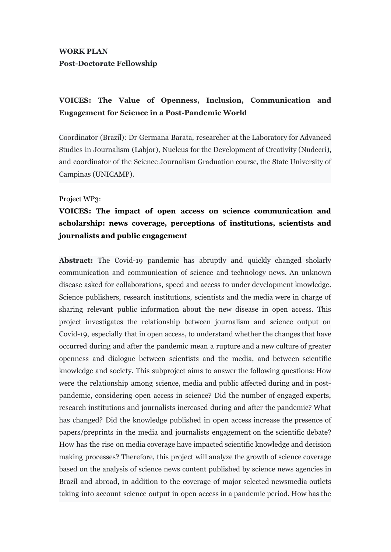### **WORK PLAN Post-Doctorate Fellowship**

# **VOICES: The Value of Openness, Inclusion, Communication and Engagement for Science in a Post-Pandemic World**

Coordinator (Brazil): Dr Germana Barata, researcher at the Laboratory for Advanced Studies in Journalism (Labjor), Nucleus for the Development of Creativity (Nudecri), and coordinator of the Science Journalism Graduation course, the State University of Campinas (UNICAMP).

#### Project WP3:

# **VOICES: The impact of open access on science communication and scholarship: news coverage, perceptions of institutions, scientists and journalists and public engagement**

**Abstract:** The Covid-19 pandemic has abruptly and quickly changed sholarly communication and communication of science and technology news. An unknown disease asked for collaborations, speed and access to under development knowledge. Science publishers, research institutions, scientists and the media were in charge of sharing relevant public information about the new disease in open access. This project investigates the relationship between journalism and science output on Covid-19, especially that in open access, to understand whether the changes that have occurred during and after the pandemic mean a rupture and a new culture of greater openness and dialogue between scientists and the media, and between scientific knowledge and society. This subproject aims to answer the following questions: How were the relationship among science, media and public affected during and in postpandemic, considering open access in science? Did the number of engaged experts, research institutions and journalists increased during and after the pandemic? What has changed? Did the knowledge published in open access increase the presence of papers/preprints in the media and journalists engagement on the scientific debate? How has the rise on media coverage have impacted scientific knowledge and decision making processes? Therefore, this project will analyze the growth of science coverage based on the analysis of science news content published by science news agencies in Brazil and abroad, in addition to the coverage of major selected newsmedia outlets taking into account science output in open access in a pandemic period. How has the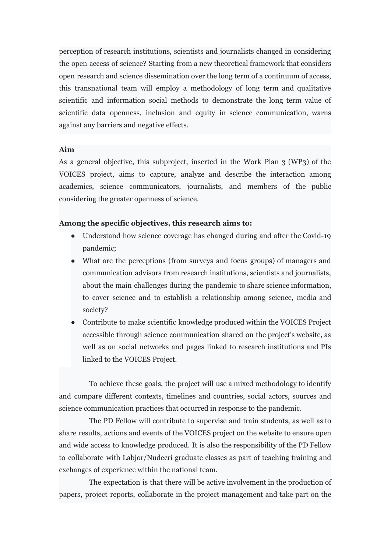perception of research institutions, scientists and journalists changed in considering the open access of science? Starting from a new theoretical framework that considers open research and science dissemination over the long term of a continuum of access, this transnational team will employ a methodology of long term and qualitative scientific and information social methods to demonstrate the long term value of scientific data openness, inclusion and equity in science communication, warns against any barriers and negative effects.

### **Aim**

As a general objective, this subproject, inserted in the Work Plan 3 (WP3) of the VOICES project, aims to capture, analyze and describe the interaction among academics, science communicators, journalists, and members of the public considering the greater openness of science.

#### **Among the specific objectives, this research aims to:**

- Understand how science coverage has changed during and after the Covid-19 pandemic;
- What are the perceptions (from surveys and focus groups) of managers and communication advisors from research institutions, scientists and journalists, about the main challenges during the pandemic to share science information, to cover science and to establish a relationship among science, media and society?
- Contribute to make scientific knowledge produced within the VOICES Project accessible through science communication shared on the project's website, as well as on social networks and pages linked to research institutions and PIs linked to the VOICES Project.

To achieve these goals, the project will use a mixed methodology to identify and compare different contexts, timelines and countries, social actors, sources and science communication practices that occurred in response to the pandemic.

The PD Fellow will contribute to supervise and train students, as well as to share results, actions and events of the VOICES project on the website to ensure open and wide access to knowledge produced. It is also the responsibility of the PD Fellow to collaborate with Labjor/Nudecri graduate classes as part of teaching training and exchanges of experience within the national team.

The expectation is that there will be active involvement in the production of papers, project reports, collaborate in the project management and take part on the